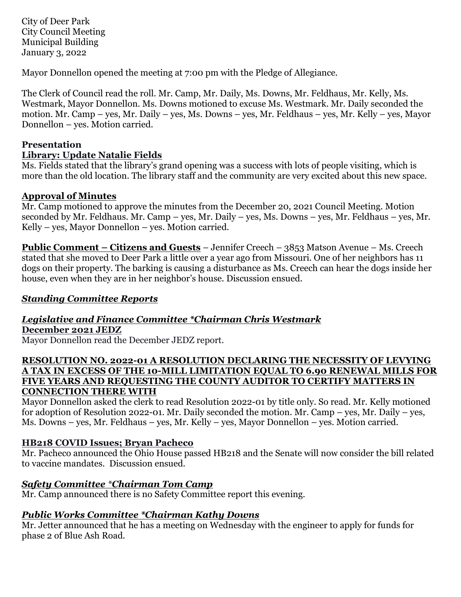City of Deer Park City Council Meeting Municipal Building January 3, 2022

Mayor Donnellon opened the meeting at 7:00 pm with the Pledge of Allegiance.

The Clerk of Council read the roll. Mr. Camp, Mr. Daily, Ms. Downs, Mr. Feldhaus, Mr. Kelly, Ms. Westmark, Mayor Donnellon. Ms. Downs motioned to excuse Ms. Westmark. Mr. Daily seconded the motion. Mr. Camp – yes, Mr. Daily – yes, Ms. Downs – yes, Mr. Feldhaus – yes, Mr. Kelly – yes, Mayor Donnellon – yes. Motion carried.

### **Presentation**

### **Library: Update Natalie Fields**

Ms. Fields stated that the library's grand opening was a success with lots of people visiting, which is more than the old location. The library staff and the community are very excited about this new space.

### **Approval of Minutes**

Mr. Camp motioned to approve the minutes from the December 20, 2021 Council Meeting. Motion seconded by Mr. Feldhaus. Mr. Camp – yes, Mr. Daily – yes, Ms. Downs – yes, Mr. Feldhaus – yes, Mr. Kelly – yes, Mayor Donnellon – yes. Motion carried.

**Public Comment – Citizens and Guests** – Jennifer Creech – 3853 Matson Avenue – Ms. Creech stated that she moved to Deer Park a little over a year ago from Missouri. One of her neighbors has 11 dogs on their property. The barking is causing a disturbance as Ms. Creech can hear the dogs inside her house, even when they are in her neighbor's house. Discussion ensued.

## *Standing Committee Reports*

#### *Legislative and Finance Committee \*Chairman Chris Westmark* **December 2021 JEDZ**

Mayor Donnellon read the December JEDZ report.

### **RESOLUTION NO. 2022-01 A RESOLUTION DECLARING THE NECESSITY OF LEVYING A TAX IN EXCESS OF THE 10-MILL LIMITATION EQUAL TO 6.90 RENEWAL MILLS FOR FIVE YEARS AND REQUESTING THE COUNTY AUDITOR TO CERTIFY MATTERS IN CONNECTION THERE WITH**

Mayor Donnellon asked the clerk to read Resolution 2022-01 by title only. So read. Mr. Kelly motioned for adoption of Resolution 2022-01. Mr. Daily seconded the motion. Mr. Camp – yes, Mr. Daily – yes, Ms. Downs – yes, Mr. Feldhaus – yes, Mr. Kelly – yes, Mayor Donnellon – yes. Motion carried.

## **HB218 COVID Issues; Bryan Pacheco**

Mr. Pacheco announced the Ohio House passed HB218 and the Senate will now consider the bill related to vaccine mandates. Discussion ensued.

## *Safety Committee \*Chairman Tom Camp*

Mr. Camp announced there is no Safety Committee report this evening.

## *Public Works Committee \*Chairman Kathy Downs*

Mr. Jetter announced that he has a meeting on Wednesday with the engineer to apply for funds for phase 2 of Blue Ash Road.